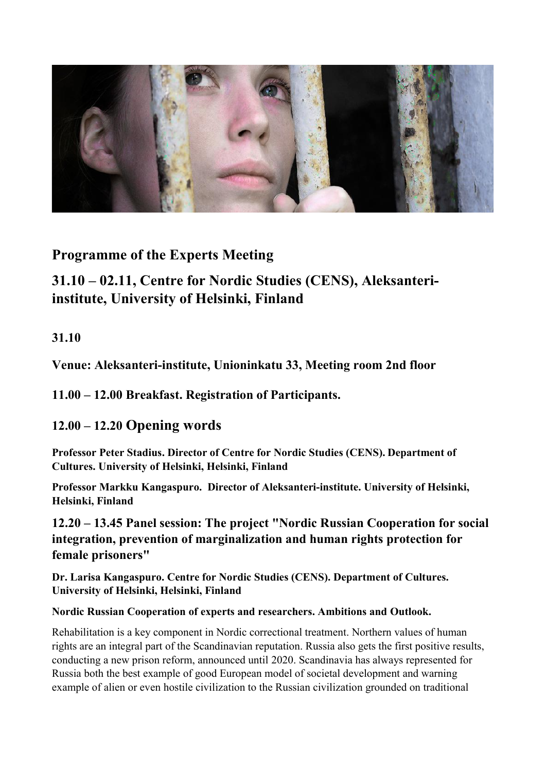

Programme of the Experts Meeting

# 31.10 – 02.11, Centre for Nordic Studies (CENS), Aleksanteriinstitute, University of Helsinki, Finland

# 31.10

Venue: Aleksanteri-institute, Unioninkatu 33, Meeting room 2nd floor

# 11.00 – 12.00 Breakfast. Registration of Participants.

# 12.00 – 12.20 Opening words

Professor Peter Stadius. Director of Centre for Nordic Studies (CENS). Department of Cultures. University of Helsinki, Helsinki, Finland

Professor Markku Kangaspuro. Director of Aleksanteri-institute. University of Helsinki, Helsinki, Finland

12.20 – 13.45 Panel session: The project "Nordic Russian Cooperation for social integration, prevention of marginalization and human rights protection for female prisoners"

Dr. Larisa Kangaspuro. Centre for Nordic Studies (CENS). Department of Cultures. University of Helsinki, Helsinki, Finland

### Nordic Russian Cooperation of experts and researchers. Ambitions and Outlook.

Rehabilitation is a key component in Nordic correctional treatment. Northern values of human rights are an integral part of the Scandinavian reputation. Russia also gets the first positive results, conducting a new prison reform, announced until 2020. Scandinavia has always represented for Russia both the best example of good European model of societal development and warning example of alien or even hostile civilization to the Russian civilization grounded on traditional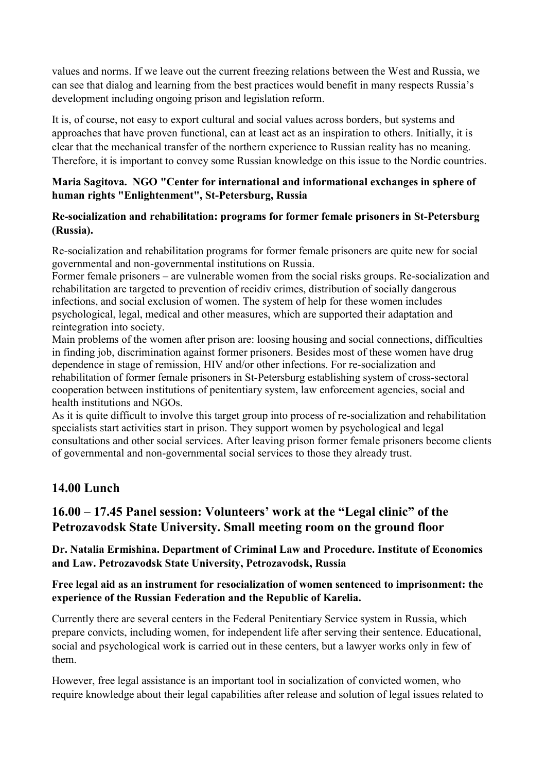values and norms. If we leave out the current freezing relations between the West and Russia, we can see that dialog and learning from the best practices would benefit in many respects Russia's development including ongoing prison and legislation reform.

It is, of course, not easy to export cultural and social values across borders, but systems and approaches that have proven functional, can at least act as an inspiration to others. Initially, it is clear that the mechanical transfer of the northern experience to Russian reality has no meaning. Therefore, it is important to convey some Russian knowledge on this issue to the Nordic countries.

#### Maria Sagitova. NGO "Center for international and informational exchanges in sphere of human rights "Enlightenment", St-Petersburg, Russia

#### Re-socialization and rehabilitation: programs for former female prisoners in St-Petersburg (Russia).

Re-socialization and rehabilitation programs for former female prisoners are quite new for social governmental and non-governmental institutions on Russia.

Former female prisoners – are vulnerable women from the social risks groups. Re-socialization and rehabilitation are targeted to prevention of recidiv crimes, distribution of socially dangerous infections, and social exclusion of women. The system of help for these women includes psychological, legal, medical and other measures, which are supported their adaptation and reintegration into society.

Main problems of the women after prison are: loosing housing and social connections, difficulties in finding job, discrimination against former prisoners. Besides most of these women have drug dependence in stage of remission, HIV and/or other infections. For re-socialization and rehabilitation of former female prisoners in St-Petersburg establishing system of cross-sectoral cooperation between institutions of penitentiary system, law enforcement agencies, social and health institutions and NGOs.

As it is quite difficult to involve this target group into process of re-socialization and rehabilitation specialists start activities start in prison. They support women by psychological and legal consultations and other social services. After leaving prison former female prisoners become clients of governmental and non-governmental social services to those they already trust.

# 14.00 Lunch

# 16.00 – 17.45 Panel session: Volunteers' work at the "Legal clinic" of the Petrozavodsk State University. Small meeting room on the ground floor

Dr. Natalia Ermishina. Department of Criminal Law and Procedure. Institute of Economics and Law. Petrozavodsk State University, Petrozavodsk, Russia

#### Free legal aid as an instrument for resocialization of women sentenced to imprisonment: the experience of the Russian Federation and the Republic of Karelia.

Currently there are several centers in the Federal Penitentiary Service system in Russia, which prepare convicts, including women, for independent life after serving their sentence. Educational, social and psychological work is carried out in these centers, but a lawyer works only in few of them.

However, free legal assistance is an important tool in socialization of convicted women, who require knowledge about their legal capabilities after release and solution of legal issues related to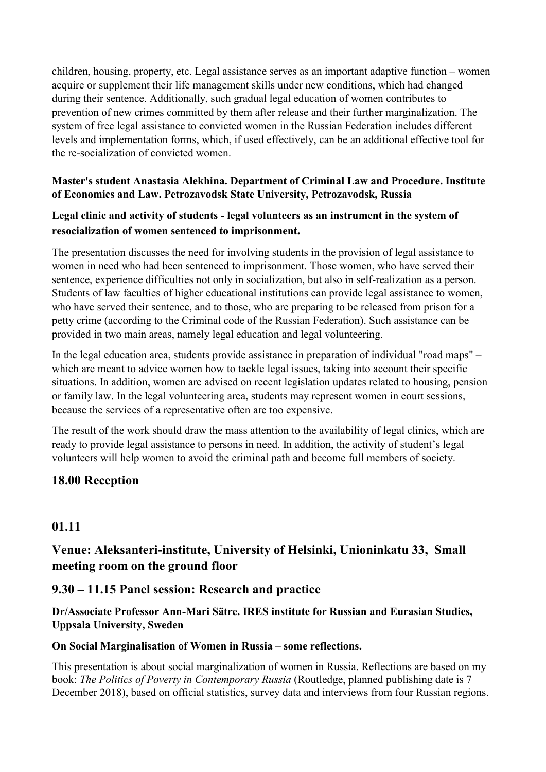children, housing, property, etc. Legal assistance serves as an important adaptive function – women acquire or supplement their life management skills under new conditions, which had changed during their sentence. Additionally, such gradual legal education of women contributes to prevention of new crimes committed by them after release and their further marginalization. The system of free legal assistance to convicted women in the Russian Federation includes different levels and implementation forms, which, if used effectively, can be an additional effective tool for the re-socialization of convicted women.

#### Master's student Anastasia Alekhina. Department of Criminal Law and Procedure. Institute of Economics and Law. Petrozavodsk State University, Petrozavodsk, Russia

### Legal clinic and activity of students - legal volunteers as an instrument in the system of resocialization of women sentenced to imprisonment.

The presentation discusses the need for involving students in the provision of legal assistance to women in need who had been sentenced to imprisonment. Those women, who have served their sentence, experience difficulties not only in socialization, but also in self-realization as a person. Students of law faculties of higher educational institutions can provide legal assistance to women, who have served their sentence, and to those, who are preparing to be released from prison for a petty crime (according to the Criminal code of the Russian Federation). Such assistance can be provided in two main areas, namely legal education and legal volunteering.

In the legal education area, students provide assistance in preparation of individual "road maps" – which are meant to advice women how to tackle legal issues, taking into account their specific situations. In addition, women are advised on recent legislation updates related to housing, pension or family law. In the legal volunteering area, students may represent women in court sessions, because the services of a representative often are too expensive.

The result of the work should draw the mass attention to the availability of legal clinics, which are ready to provide legal assistance to persons in need. In addition, the activity of student's legal volunteers will help women to avoid the criminal path and become full members of society.

# 18.00 Reception

### 01.11

# Venue: Aleksanteri-institute, University of Helsinki, Unioninkatu 33, Small meeting room on the ground floor

### 9.30 – 11.15 Panel session: Research and practice

Dr/Associate Professor Ann-Mari Sätre. IRES institute for Russian and Eurasian Studies, Uppsala University, Sweden

#### On Social Marginalisation of Women in Russia – some reflections.

This presentation is about social marginalization of women in Russia. Reflections are based on my book: The Politics of Poverty in Contemporary Russia (Routledge, planned publishing date is 7 December 2018), based on official statistics, survey data and interviews from four Russian regions.